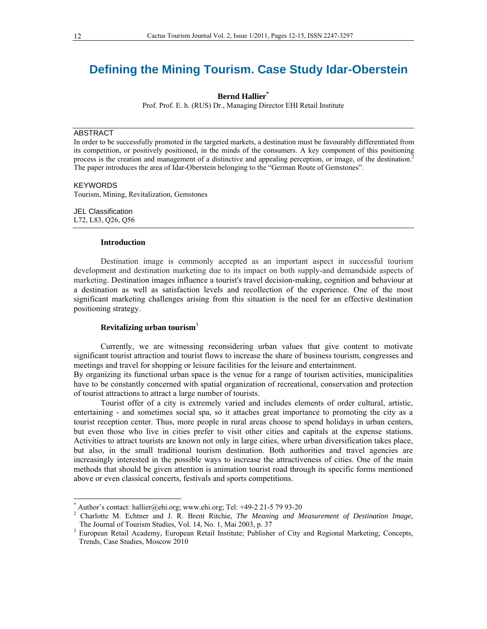# **Defining the Mining Tourism. Case Study Idar-Oberstein**

**Bernd Hallier\***

Prof. Prof. E. h. (RUS) Dr., Managing Director EHI Retail Institute

## ABSTRACT

In order to be successfully promoted in the targeted markets, a destination must be favourably differentiated from its competition, or positively positioned, in the minds of the consumers. A key component of this positioning process is the creation and management of a distinctive and appealing perception, or image, of the destination.2 The paper introduces the area of Idar-Oberstein belonging to the "German Route of Gemstones".

## **KEYWORDS**

 $\overline{\phantom{a}}$ 

Tourism, Mining, Revitalization, Gemstones

JEL Classification L72, L83, Q26, Q56

### **Introduction**

Destination image is commonly accepted as an important aspect in successful tourism development and destination marketing due to its impact on both supply-and demandside aspects of marketing. Destination images influence a tourist's travel decision-making, cognition and behaviour at a destination as well as satisfaction levels and recollection of the experience. One of the most significant marketing challenges arising from this situation is the need for an effective destination positioning strategy.

# **Revitalizing urban tourism**<sup>3</sup>

Currently, we are witnessing reconsidering urban values that give content to motivate significant tourist attraction and tourist flows to increase the share of business tourism, congresses and meetings and travel for shopping or leisure facilities for the leisure and entertainment.

By organizing its functional urban space is the venue for a range of tourism activities, municipalities have to be constantly concerned with spatial organization of recreational, conservation and protection of tourist attractions to attract a large number of tourists.

Tourist offer of a city is extremely varied and includes elements of order cultural, artistic, entertaining - and sometimes social spa, so it attaches great importance to promoting the city as a tourist reception center. Thus, more people in rural areas choose to spend holidays in urban centers, but even those who live in cities prefer to visit other cities and capitals at the expense stations. Activities to attract tourists are known not only in large cities, where urban diversification takes place, but also, in the small traditional tourism destination. Both authorities and travel agencies are increasingly interested in the possible ways to increase the attractiveness of cities. One of the main methods that should be given attention is animation tourist road through its specific forms mentioned above or even classical concerts, festivals and sports competitions.

 $*$  Author's contact: hallier@ehi.org; www.ehi.org; Tel: +49-2 21-5 79 93-20

<sup>2</sup> Charlotte M. Echtner and J. R. Brent Ritchie, *The Meaning and Measurement of Destination Image*, The Journal of Tourism Studies, Vol. 14, No. 1, Mai 2003, p. 37

<sup>&</sup>lt;sup>3</sup> European Retail Academy, European Retail Institute; Publisher of City and Regional Marketing; Concepts, Trends, Case Studies, Moscow 2010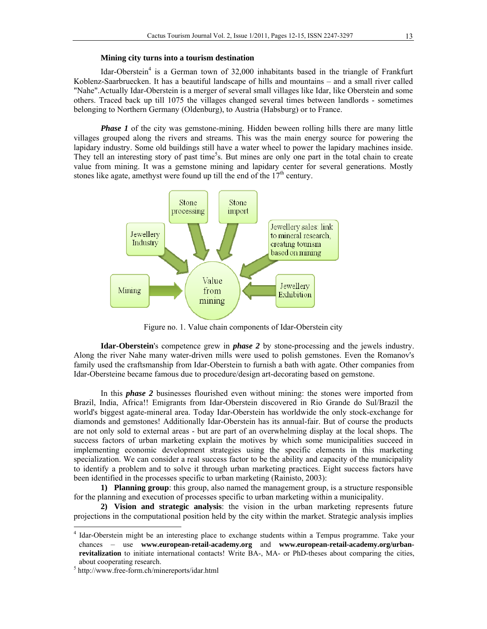#### **Mining city turns into a tourism destination**

Idar-Oberstein<sup>4</sup> is a German town of 32,000 inhabitants based in the triangle of Frankfurt Koblenz-Saarbruecken. It has a beautiful landscape of hills and mountains – and a small river called "Nahe".Actually Idar-Oberstein is a merger of several small villages like Idar, like Oberstein and some others. Traced back up till 1075 the villages changed several times between landlords - sometimes belonging to Northern Germany (Oldenburg), to Austria (Habsburg) or to France.

*Phase 1* of the city was gemstone-mining. Hidden beween rolling hills there are many little villages grouped along the rivers and streams. This was the main energy source for powering the lapidary industry. Some old buildings still have a water wheel to power the lapidary machines inside. They tell an interesting story of past time<sup>5</sup>s. But mines are only one part in the total chain to create value from mining. It was a gemstone mining and lapidary center for several generations. Mostly stones like agate, amethyst were found up till the end of the  $17<sup>th</sup>$  century.



Figure no. 1. Value chain components of Idar-Oberstein city

**Idar-Oberstein**'s competence grew in *phase 2* by stone-processing and the jewels industry. Along the river Nahe many water-driven mills were used to polish gemstones. Even the Romanov's family used the craftsmanship from Idar-Oberstein to furnish a bath with agate. Other companies from Idar-Obersteine became famous due to procedure/design art-decorating based on gemstone.

In this *phase 2* businesses flourished even without mining: the stones were imported from Brazil, India, Africa!! Emigrants from Idar-Oberstein discovered in Rio Grande do Sul/Brazil the world's biggest agate-mineral area. Today Idar-Oberstein has worldwide the only stock-exchange for diamonds and gemstones! Additionally Idar-Oberstein has its annual-fair. But of course the products are not only sold to external areas - but are part of an overwhelming display at the local shops. The success factors of urban marketing explain the motives by which some municipalities succeed in implementing economic development strategies using the specific elements in this marketing specialization. We can consider a real success factor to be the ability and capacity of the municipality to identify a problem and to solve it through urban marketing practices. Eight success factors have been identified in the processes specific to urban marketing (Rainisto, 2003):

**1) Planning group**: this group, also named the management group, is a structure responsible for the planning and execution of processes specific to urban marketing within a municipality.

**2) Vision and strategic analysis**: the vision in the urban marketing represents future projections in the computational position held by the city within the market. Strategic analysis implies

 $\overline{\phantom{a}}$ 

<sup>4</sup> Idar-Oberstein might be an interesting place to exchange students within a Tempus programme. Take your chances – use **www.european-retail-academy.org** and **www.european-retail-academy.org/urbanrevitalization** to initiate international contacts! Write BA-, MA- or PhD-theses about comparing the cities, about cooperating research.

http://www.free-form.ch/minereports/idar.html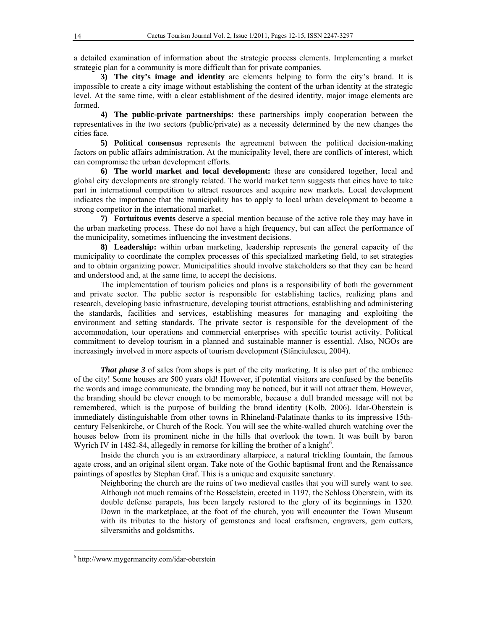a detailed examination of information about the strategic process elements. Implementing a market strategic plan for a community is more difficult than for private companies.

**3) The city's image and identity** are elements helping to form the city's brand. It is impossible to create a city image without establishing the content of the urban identity at the strategic level. At the same time, with a clear establishment of the desired identity, major image elements are formed.

**4) The public-private partnerships:** these partnerships imply cooperation between the representatives in the two sectors (public/private) as a necessity determined by the new changes the cities face.

**5) Political consensus** represents the agreement between the political decision-making factors on public affairs administration. At the municipality level, there are conflicts of interest, which can compromise the urban development efforts.

**6) The world market and local development:** these are considered together, local and global city developments are strongly related. The world market term suggests that cities have to take part in international competition to attract resources and acquire new markets. Local development indicates the importance that the municipality has to apply to local urban development to become a strong competitor in the international market.

**7) Fortuitous events** deserve a special mention because of the active role they may have in the urban marketing process. These do not have a high frequency, but can affect the performance of the municipality, sometimes influencing the investment decisions.

**8) Leadership:** within urban marketing, leadership represents the general capacity of the municipality to coordinate the complex processes of this specialized marketing field, to set strategies and to obtain organizing power. Municipalities should involve stakeholders so that they can be heard and understood and, at the same time, to accept the decisions.

The implementation of tourism policies and plans is a responsibility of both the government and private sector. The public sector is responsible for establishing tactics, realizing plans and research, developing basic infrastructure, developing tourist attractions, establishing and administering the standards, facilities and services, establishing measures for managing and exploiting the environment and setting standards. The private sector is responsible for the development of the accommodation, tour operations and commercial enterprises with specific tourist activity. Political commitment to develop tourism in a planned and sustainable manner is essential. Also, NGOs are increasingly involved in more aspects of tourism development (Stănciulescu, 2004).

*That phase 3* of sales from shops is part of the city marketing. It is also part of the ambience of the city! Some houses are 500 years old! However, if potential visitors are confused by the benefits the words and image communicate, the branding may be noticed, but it will not attract them. However, the branding should be clever enough to be memorable, because a dull branded message will not be remembered, which is the purpose of building the brand identity (Kolb, 2006). Idar-Oberstein is immediately distinguishable from other towns in Rhineland-Palatinate thanks to its impressive 15thcentury Felsenkirche, or Church of the Rock. You will see the white-walled church watching over the houses below from its prominent niche in the hills that overlook the town. It was built by baron Wyrich IV in 1482-84, allegedly in remorse for killing the brother of a knight $6$ .

Inside the church you is an extraordinary altarpiece, a natural trickling fountain, the famous agate cross, and an original silent organ. Take note of the Gothic baptismal front and the Renaissance paintings of apostles by Stephan Graf. This is a unique and exquisite sanctuary.

Neighboring the church are the ruins of two medieval castles that you will surely want to see. Although not much remains of the Bosselstein, erected in 1197, the Schloss Oberstein, with its double defense parapets, has been largely restored to the glory of its beginnings in 1320. Down in the marketplace, at the foot of the church, you will encounter the Town Museum with its tributes to the history of gemstones and local craftsmen, engravers, gem cutters, silversmiths and goldsmiths.

 6 http://www.mygermancity.com/idar-oberstein